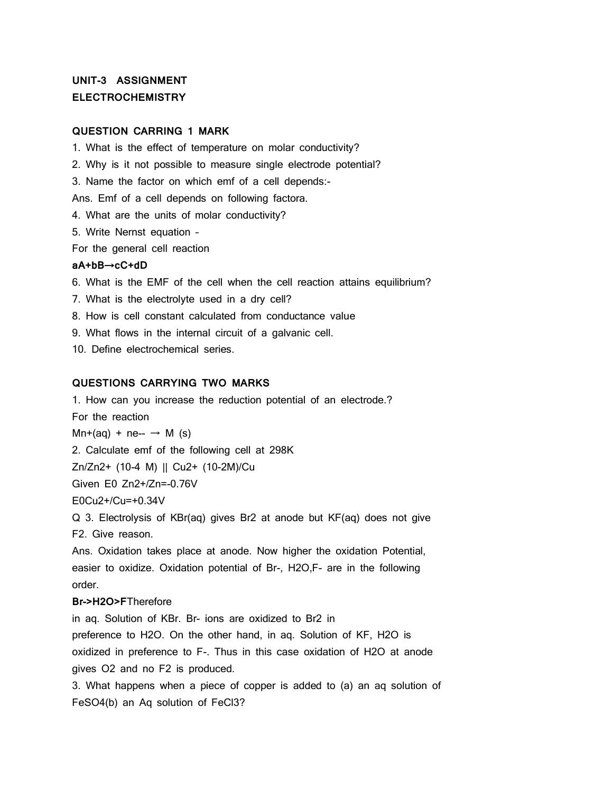# **UNIT-3 ASSIGNMENT ELECTROCHEMISTRY**

# **QUESTION CARRING 1 MARK**

1. What is the effect of temperature on molar conductivity? 2. Why is it not possible to measure single electrode potential? 3. Name the factor on which emf of a cell depends:- Ans. Emf of a cell depends on following factora. 4. What are the units of molar conductivity? 5. Write Nernst equation – For the general cell reaction **aA+bB**→**cC+dD** 6. What is the EMF of the cell when the cell reaction attains equilibrium? 7. What is the electrolyte used in a dry cell? 8. How is cell constant calculated from conductance value

9. What flows in the internal circuit of a galvanic cell.

10. Define electrochemical series.

#### **QUESTIONS CARRYING TWO MARKS**

1. How can you increase the reduction potential of an electrode.? For the reaction  $Mn+(aq) + ne- \rightarrow M$  (s) 2. Calculate emf of the following cell at 298K Zn/Zn2+ (10-4 M) || Cu2+ (10-2M)/Cu Given E0 Zn2+/Zn=-0.76V E0Cu2+/Cu=+0.34V Q 3. Electrolysis of KBr(aq) gives Br2 at anode but KF(aq) does not give F2. Give reason.

Ans. Oxidation takes place at anode. Now higher the oxidation Potential, easier to oxidize. Oxidation potential of Br-, H2O,F- are in the following order.

# **Br->H2O>F**Therefore

in aq. Solution of KBr. Br- ions are oxidized to Br2 in preference to H2O. On the other hand, in aq. Solution of KF, H2O is oxidized in preference to F-. Thus in this case oxidation of H2O at anode gives O2 and no F2 is produced.

3. What happens when a piece of copper is added to (a) an aq solution of FeSO4(b) an Aq solution of FeCl3?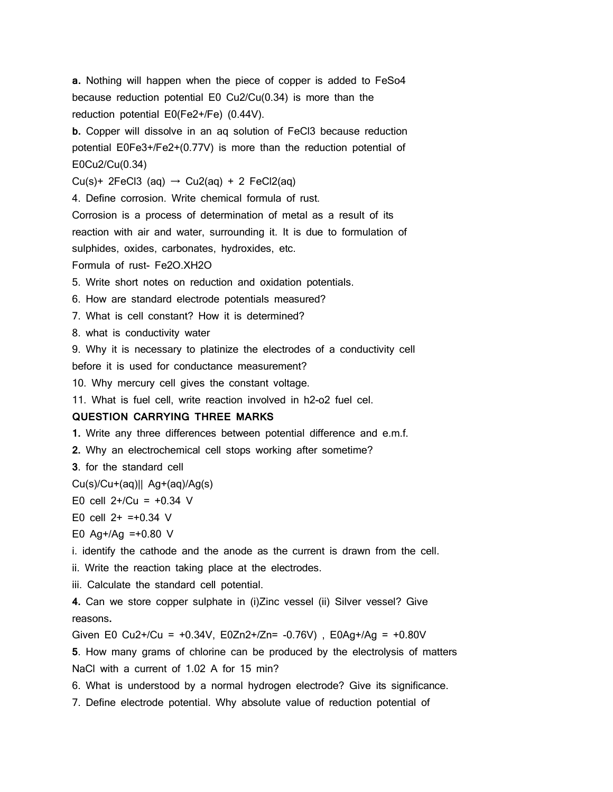**a.** Nothing will happen when the piece of copper is added to FeSo4 because reduction potential E0 Cu2/Cu(0.34) is more than the reduction potential E0(Fe2+/Fe) (0.44V).

**b.** Copper will dissolve in an aq solution of FeCl3 because reduction potential E0Fe3+/Fe2+(0.77V) is more than the reduction potential of E0Cu2/Cu(0.34)

Cu(s)+ 2FeCl3 (aq)  $\rightarrow$  Cu2(aq) + 2 FeCl2(aq)

4. Define corrosion. Write chemical formula of rust.

Corrosion is a process of determination of metal as a result of its reaction with air and water, surrounding it. It is due to formulation of sulphides, oxides, carbonates, hydroxides, etc.

Formula of rust- Fe2O.XH2O

5. Write short notes on reduction and oxidation potentials.

6. How are standard electrode potentials measured?

7. What is cell constant? How it is determined?

8. what is conductivity water

9. Why it is necessary to platinize the electrodes of a conductivity cell before it is used for conductance measurement?

10. Why mercury cell gives the constant voltage.

11. What is fuel cell, write reaction involved in h2-o2 fuel cel.

## **QUESTION CARRYING THREE MARKS**

**1.** Write any three differences between potential difference and e.m.f.

**2.** Why an electrochemical cell stops working after sometime?

**3**. for the standard cell

 $Cu(s)/Cu+(aq)||$  Ag+(aq)/Ag(s)

E0 cell  $2+/Cu = +0.34$  V

E0 cell  $2+ =+0.34$  V

E0 Ag+/Ag =+0.80  $V$ 

i. identify the cathode and the anode as the current is drawn from the cell.

ii. Write the reaction taking place at the electrodes.

iii. Calculate the standard cell potential.

**4.** Can we store copper sulphate in (i)Zinc vessel (ii) Silver vessel? Give reasons**.**

Given E0 Cu2+/Cu = +0.34V, E0Zn2+/Zn= -0.76V), E0Ag+/Ag = +0.80V

**5**. How many grams of chlorine can be produced by the electrolysis of matters NaCl with a current of 1.02 A for 15 min?

6. What is understood by a normal hydrogen electrode? Give its significance.

7. Define electrode potential. Why absolute value of reduction potential of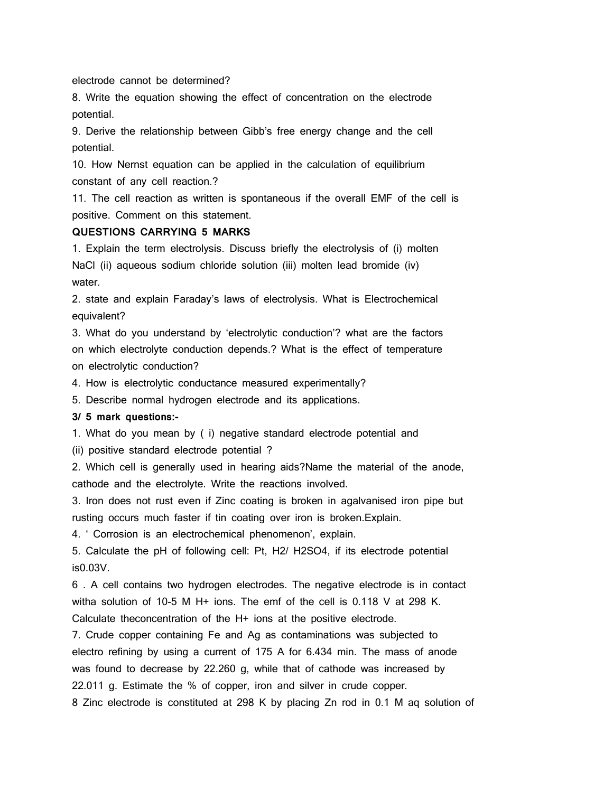electrode cannot be determined?

8. Write the equation showing the effect of concentration on the electrode potential.

9. Derive the relationship between Gibb's free energy change and the cell potential.

10. How Nernst equation can be applied in the calculation of equilibrium constant of any cell reaction.?

11. The cell reaction as written is spontaneous if the overall EMF of the cell is positive. Comment on this statement.

#### **QUESTIONS CARRYING 5 MARKS**

1. Explain the term electrolysis. Discuss briefly the electrolysis of (i) molten NaCl (ii) aqueous sodium chloride solution (iii) molten lead bromide (iv) water.

2. state and explain Faraday's laws of electrolysis. What is Electrochemical equivalent?

3. What do you understand by 'electrolytic conduction'? what are the factors on which electrolyte conduction depends.? What is the effect of temperature on electrolytic conduction?

4. How is electrolytic conductance measured experimentally?

5. Describe normal hydrogen electrode and its applications.

## **3/ 5 mark questions:-**

1. What do you mean by ( i) negative standard electrode potential and

(ii) positive standard electrode potential ?

2. Which cell is generally used in hearing aids?Name the material of the anode, cathode and the electrolyte. Write the reactions involved.

3. Iron does not rust even if Zinc coating is broken in agalvanised iron pipe but rusting occurs much faster if tin coating over iron is broken.Explain.

4. ' Corrosion is an electrochemical phenomenon', explain.

5. Calculate the pH of following cell: Pt, H2/ H2SO4, if its electrode potential is0.03V.

6 . A cell contains two hydrogen electrodes. The negative electrode is in contact witha solution of 10-5 M H+ ions. The emf of the cell is 0.118 V at 298 K. Calculate theconcentration of the H+ ions at the positive electrode.

7. Crude copper containing Fe and Ag as contaminations was subjected to electro refining by using a current of 175 A for 6.434 min. The mass of anode was found to decrease by 22.260 g, while that of cathode was increased by 22.011 g. Estimate the % of copper, iron and silver in crude copper. 8 Zinc electrode is constituted at 298 K by placing Zn rod in 0.1 M aq solution of